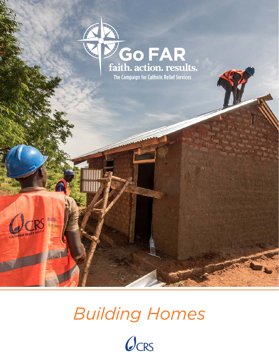

*Building Homes*

 $7R\int_{0}^{faith}$ 

urian.

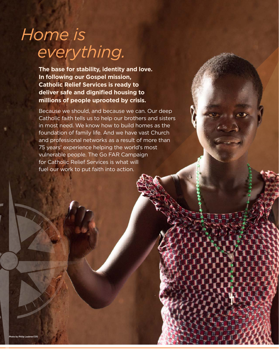# *Home is everything.*

**The base for stability, identity and love. In following our Gospel mission, Catholic Relief Services is ready to deliver safe and dignified housing to millions of people uprooted by crisis.**

Because we should, and because we can. Our deep Catholic faith tells us to help our brothers and sisters in most need. We know how to build homes as the foundation of family life. And we have vast Church and professional networks as a result of more than 75 years' experience helping the world's most vulnerable people. The Go FAR Campaign for Catholic Relief Services is what will fuel our work to put faith into action.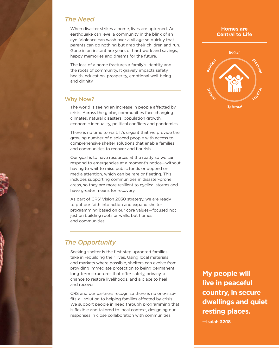## *The Need*

When disaster strikes a home, lives are upturned. An earthquake can level a community in the blink of an eye. Violence can wash over a village so quickly that parents can do nothing but grab their children and run. Gone in an instant are years of hard work and savings, happy memories and dreams for the future.

The loss of a home fractures a family's identity and the roots of community. It gravely impacts safety, health, education, prosperity, emotional well-being and dignity.

## Why Now?

The world is seeing an increase in people affected by crisis. Across the globe, communities face changing climates, natural disasters, population growth, economic inequality, political conflicts and pandemics.

There is no time to wait. It's urgent that we provide the growing number of displaced people with access to comprehensive shelter solutions that enable families and communities to recover and flourish.

Our goal is to have resources at the ready so we can respond to emergencies at a moment's notice—without having to wait to raise public funds or depend on media attention, which can be rare or fleeting. This includes supporting communities in disaster-prone areas, so they are more resilient to cyclical storms and have greater means for recovery.

As part of CRS' Vision 2030 strategy, we are ready to put our faith into action and expand shelter programming based on our core values—focused not just on building roofs or walls, but homes and communities.

# *The Opportunity*

Seeking shelter is the first step uprooted families take in rebuilding their lives. Using local materials and markets where possible, shelters can evolve from providing immediate protection to being permanent, long-term structures that offer safety, privacy, a chance to restore livelihoods, and a place to heal and recover.

CRS and our partners recognize there is no one-sizefits-all solution to helping families affected by crisis. We support people in need through programming that is flexible and tailored to local context, designing our responses in close collaboration with communities.

# **My people will live in peaceful country, in secure dwellings and quiet resting places.**

**—Isaiah 32:18**

#### **Homes are Central to Life**